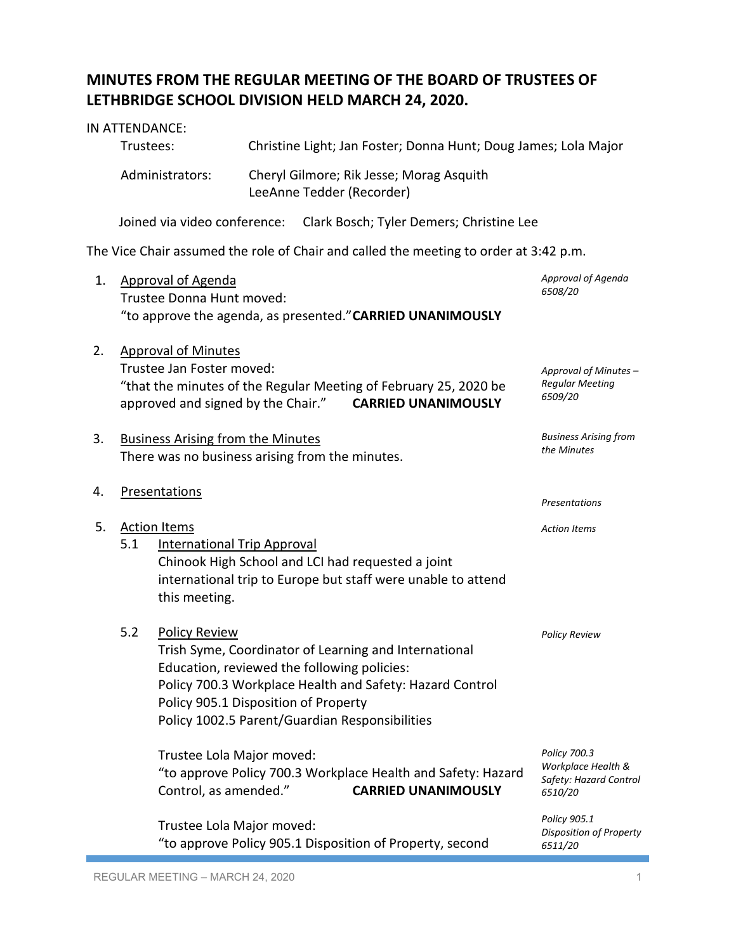## **MINUTES FROM THE REGULAR MEETING OF THE BOARD OF TRUSTEES OF LETHBRIDGE SCHOOL DIVISION HELD MARCH 24, 2020.**

|    | IN ATTENDANCE:<br>Trustees:                                                                                                                                                           |                                                                                                                                                                                                                                                                                    |                     |                           |                                          |                                                                                            | Christine Light; Jan Foster; Donna Hunt; Doug James; Lola Major         |
|----|---------------------------------------------------------------------------------------------------------------------------------------------------------------------------------------|------------------------------------------------------------------------------------------------------------------------------------------------------------------------------------------------------------------------------------------------------------------------------------|---------------------|---------------------------|------------------------------------------|--------------------------------------------------------------------------------------------|-------------------------------------------------------------------------|
|    |                                                                                                                                                                                       | Administrators:                                                                                                                                                                                                                                                                    |                     | LeeAnne Tedder (Recorder) | Cheryl Gilmore; Rik Jesse; Morag Asquith |                                                                                            |                                                                         |
|    |                                                                                                                                                                                       | Joined via video conference:                                                                                                                                                                                                                                                       |                     |                           |                                          | Clark Bosch; Tyler Demers; Christine Lee                                                   |                                                                         |
|    |                                                                                                                                                                                       | The Vice Chair assumed the role of Chair and called the meeting to order at 3:42 p.m.                                                                                                                                                                                              |                     |                           |                                          |                                                                                            |                                                                         |
| 1. |                                                                                                                                                                                       | <b>Approval of Agenda</b><br>Trustee Donna Hunt moved:<br>"to approve the agenda, as presented." CARRIED UNANIMOUSLY                                                                                                                                                               |                     |                           |                                          | Approval of Agenda<br>6508/20                                                              |                                                                         |
| 2. | <b>Approval of Minutes</b><br>Trustee Jan Foster moved:<br>"that the minutes of the Regular Meeting of February 25, 2020 be<br>approved and signed by the Chair." CARRIED UNANIMOUSLY |                                                                                                                                                                                                                                                                                    |                     |                           |                                          |                                                                                            | Approval of Minutes -<br><b>Regular Meeting</b><br>6509/20              |
| 3. |                                                                                                                                                                                       | <b>Business Arising from the Minutes</b><br>There was no business arising from the minutes.                                                                                                                                                                                        |                     |                           |                                          |                                                                                            | <b>Business Arising from</b><br>the Minutes                             |
| 4. | Presentations                                                                                                                                                                         |                                                                                                                                                                                                                                                                                    |                     |                           | <b>Presentations</b>                     |                                                                                            |                                                                         |
| 5. |                                                                                                                                                                                       | <b>Action Items</b>                                                                                                                                                                                                                                                                | <b>Action Items</b> |                           |                                          |                                                                                            |                                                                         |
|    | 5.1<br><b>International Trip Approval</b><br>Chinook High School and LCI had requested a joint<br>international trip to Europe but staff were unable to attend<br>this meeting.       |                                                                                                                                                                                                                                                                                    |                     |                           |                                          |                                                                                            |                                                                         |
|    | 5.2                                                                                                                                                                                   | <b>Policy Review</b><br>Trish Syme, Coordinator of Learning and International<br>Education, reviewed the following policies:<br>Policy 700.3 Workplace Health and Safety: Hazard Control<br>Policy 905.1 Disposition of Property<br>Policy 1002.5 Parent/Guardian Responsibilities |                     |                           |                                          |                                                                                            | <b>Policy Review</b>                                                    |
|    |                                                                                                                                                                                       | Trustee Lola Major moved:<br>Control, as amended."                                                                                                                                                                                                                                 |                     |                           |                                          | "to approve Policy 700.3 Workplace Health and Safety: Hazard<br><b>CARRIED UNANIMOUSLY</b> | Policy 700.3<br>Workplace Health &<br>Safety: Hazard Control<br>6510/20 |
|    |                                                                                                                                                                                       | Trustee Lola Major moved:<br>"to approve Policy 905.1 Disposition of Property, second                                                                                                                                                                                              |                     |                           |                                          |                                                                                            | Policy 905.1<br><b>Disposition of Property</b><br>6511/20               |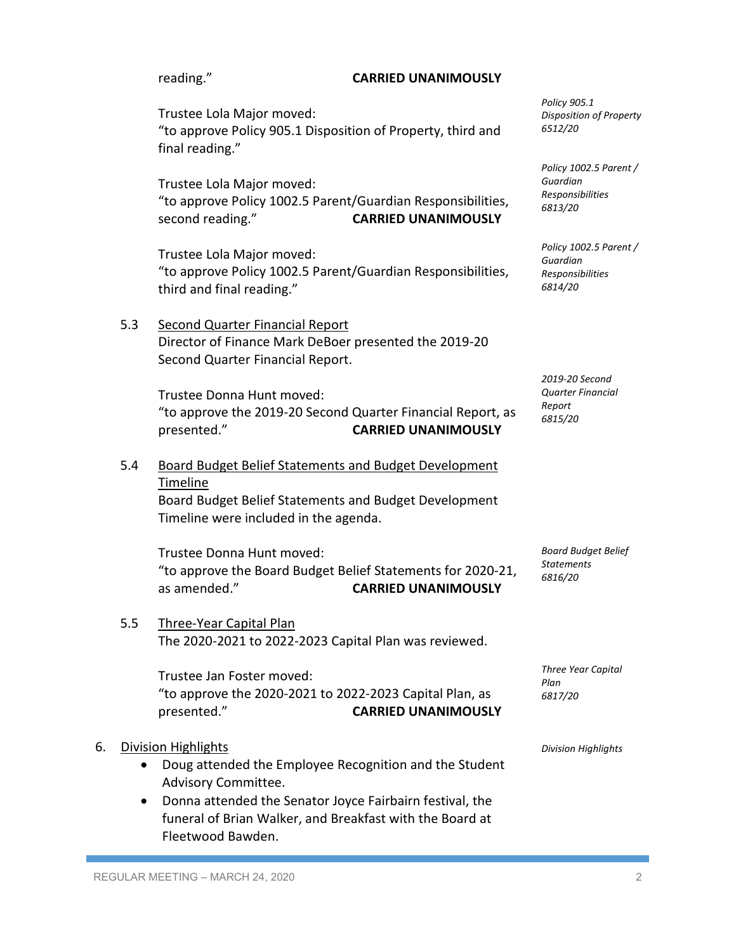|    |           | reading."                                                                                                                                                                                                                                                | <b>CARRIED UNANIMOUSLY</b> |                                                                   |
|----|-----------|----------------------------------------------------------------------------------------------------------------------------------------------------------------------------------------------------------------------------------------------------------|----------------------------|-------------------------------------------------------------------|
|    |           | Trustee Lola Major moved:<br>"to approve Policy 905.1 Disposition of Property, third and<br>final reading."                                                                                                                                              |                            | Policy 905.1<br><b>Disposition of Property</b><br>6512/20         |
|    |           | Trustee Lola Major moved:<br>"to approve Policy 1002.5 Parent/Guardian Responsibilities,<br>second reading."                                                                                                                                             | <b>CARRIED UNANIMOUSLY</b> | Policy 1002.5 Parent /<br>Guardian<br>Responsibilities<br>6813/20 |
|    |           | Trustee Lola Major moved:<br>"to approve Policy 1002.5 Parent/Guardian Responsibilities,<br>third and final reading."                                                                                                                                    |                            | Policy 1002.5 Parent /<br>Guardian<br>Responsibilities<br>6814/20 |
|    | 5.3       | <b>Second Quarter Financial Report</b><br>Director of Finance Mark DeBoer presented the 2019-20<br>Second Quarter Financial Report.                                                                                                                      |                            | 2019-20 Second                                                    |
|    |           | Trustee Donna Hunt moved:<br>"to approve the 2019-20 Second Quarter Financial Report, as<br>presented."                                                                                                                                                  | <b>CARRIED UNANIMOUSLY</b> | <b>Quarter Financial</b><br>Report<br>6815/20                     |
|    | 5.4       | <b>Board Budget Belief Statements and Budget Development</b><br>Timeline<br>Board Budget Belief Statements and Budget Development<br>Timeline were included in the agenda.                                                                               |                            |                                                                   |
|    |           | Trustee Donna Hunt moved:<br>"to approve the Board Budget Belief Statements for 2020-21,<br>as amended."                                                                                                                                                 | <b>CARRIED UNANIMOUSLY</b> | <b>Board Budget Belief</b><br><b>Statements</b><br>6816/20        |
|    | 5.5       | <b>Three-Year Capital Plan</b><br>The 2020-2021 to 2022-2023 Capital Plan was reviewed.                                                                                                                                                                  |                            |                                                                   |
|    |           | Trustee Jan Foster moved:<br>"to approve the 2020-2021 to 2022-2023 Capital Plan, as<br>presented."                                                                                                                                                      | <b>CARRIED UNANIMOUSLY</b> | Three Year Capital<br>Plan<br>6817/20                             |
| 6. | $\bullet$ | <b>Division Highlights</b><br>Doug attended the Employee Recognition and the Student<br>Advisory Committee.<br>Donna attended the Senator Joyce Fairbairn festival, the<br>funeral of Brian Walker, and Breakfast with the Board at<br>Fleetwood Bawden. |                            | <b>Division Highlights</b>                                        |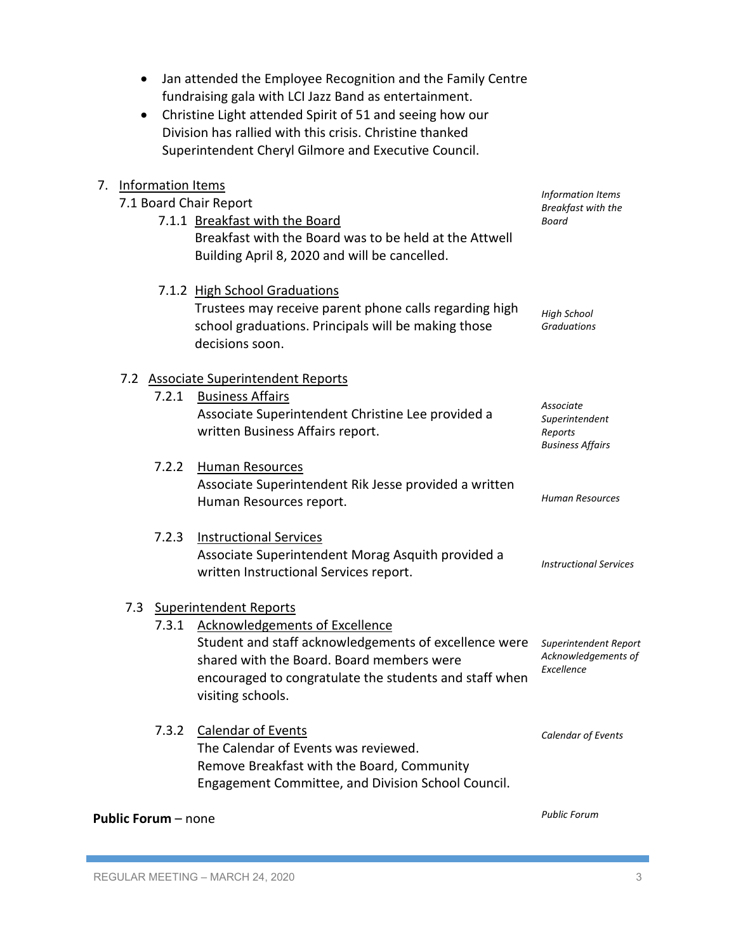| Jan attended the Employee Recognition and the Family Centre<br>٠<br>fundraising gala with LCI Jazz Band as entertainment.<br>Christine Light attended Spirit of 51 and seeing how our<br>$\bullet$<br>Division has rallied with this crisis. Christine thanked<br>Superintendent Cheryl Gilmore and Executive Council. |                                                      |
|------------------------------------------------------------------------------------------------------------------------------------------------------------------------------------------------------------------------------------------------------------------------------------------------------------------------|------------------------------------------------------|
| <b>Information Items</b><br>7.                                                                                                                                                                                                                                                                                         | Information Items                                    |
| 7.1 Board Chair Report                                                                                                                                                                                                                                                                                                 | Breakfast with the                                   |
| 7.1.1 Breakfast with the Board                                                                                                                                                                                                                                                                                         | Board                                                |
| Breakfast with the Board was to be held at the Attwell<br>Building April 8, 2020 and will be cancelled.                                                                                                                                                                                                                |                                                      |
| 7.1.2 High School Graduations                                                                                                                                                                                                                                                                                          |                                                      |
| Trustees may receive parent phone calls regarding high<br>school graduations. Principals will be making those<br>decisions soon.                                                                                                                                                                                       | <b>High School</b><br><b>Graduations</b>             |
| 7.2 Associate Superintendent Reports                                                                                                                                                                                                                                                                                   |                                                      |
| <b>Business Affairs</b><br>7.2.1                                                                                                                                                                                                                                                                                       | Associate                                            |
| Associate Superintendent Christine Lee provided a<br>written Business Affairs report.                                                                                                                                                                                                                                  | Superintendent<br>Reports<br><b>Business Affairs</b> |
| 7.2.2<br>Human Resources                                                                                                                                                                                                                                                                                               |                                                      |
| Associate Superintendent Rik Jesse provided a written<br>Human Resources report.                                                                                                                                                                                                                                       | <b>Human Resources</b>                               |
| 7.2.3<br><b>Instructional Services</b>                                                                                                                                                                                                                                                                                 |                                                      |
| Associate Superintendent Morag Asquith provided a                                                                                                                                                                                                                                                                      | <b>Instructional Services</b>                        |
| written Instructional Services report.                                                                                                                                                                                                                                                                                 |                                                      |
| 7.3 Superintendent Reports                                                                                                                                                                                                                                                                                             |                                                      |
| Acknowledgements of Excellence<br>7.3.1                                                                                                                                                                                                                                                                                |                                                      |
| Student and staff acknowledgements of excellence were                                                                                                                                                                                                                                                                  | Superintendent Report<br>Acknowledgements of         |
| shared with the Board. Board members were<br>encouraged to congratulate the students and staff when                                                                                                                                                                                                                    | Excellence                                           |
| visiting schools.                                                                                                                                                                                                                                                                                                      |                                                      |
| <b>Calendar of Events</b><br>7.3.2                                                                                                                                                                                                                                                                                     | Calendar of Events                                   |
| The Calendar of Events was reviewed.                                                                                                                                                                                                                                                                                   |                                                      |
| Remove Breakfast with the Board, Community<br>Engagement Committee, and Division School Council.                                                                                                                                                                                                                       |                                                      |
| <b>Public Forum</b> – none                                                                                                                                                                                                                                                                                             | <b>Public Forum</b>                                  |